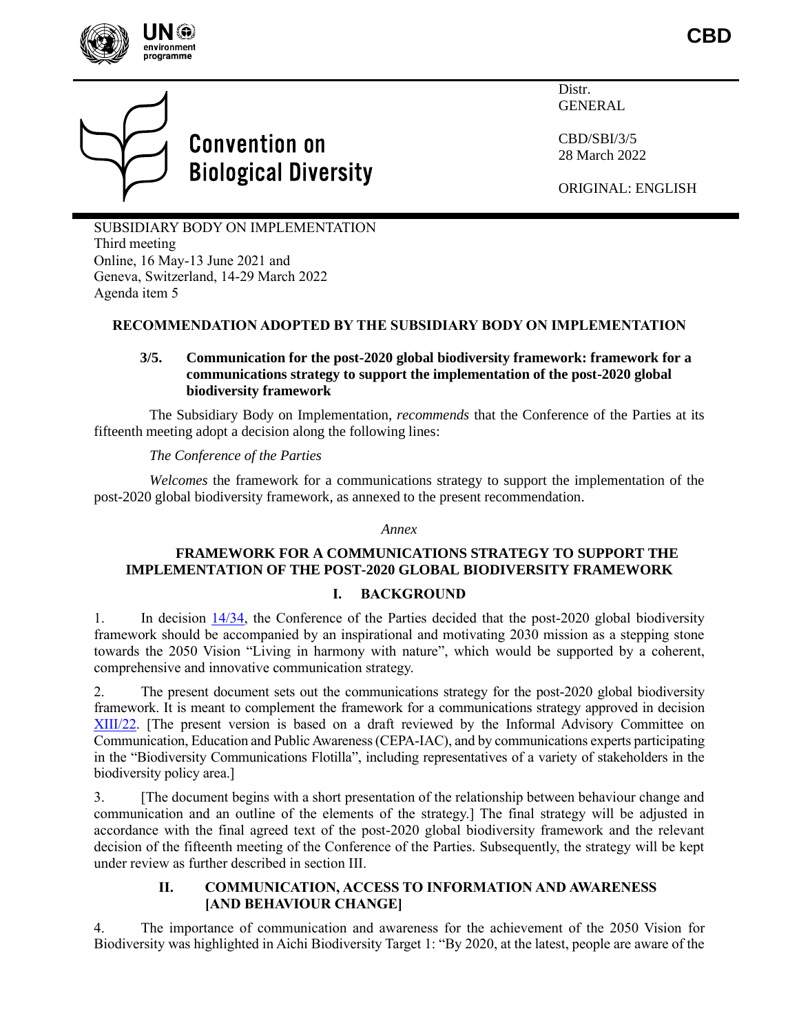

**CBD**



# **Convention on Biological Diversity**

**Distr** GENERAL

CBD/SBI/3/5 28 March 2022

ORIGINAL: ENGLISH

SUBSIDIARY BODY ON IMPLEMENTATION Third meeting Online, 16 May-13 June 2021 and Geneva, Switzerland, 14-29 March 2022 Agenda item 5

# **RECOMMENDATION ADOPTED BY THE SUBSIDIARY BODY ON IMPLEMENTATION**

## **3/5. Communication for the post-2020 global biodiversity framework: framework for a communications strategy to support the implementation of the post-2020 global biodiversity framework**

The Subsidiary Body on Implementation, *recommends* that the Conference of the Parties at its fifteenth meeting adopt a decision along the following lines:

*The Conference of the Parties*

*Welcomes* the framework for a communications strategy to support the implementation of the post-2020 global biodiversity framework, as annexed to the present recommendation.

#### *Annex*

## **FRAMEWORK FOR A COMMUNICATIONS STRATEGY TO SUPPORT THE IMPLEMENTATION OF THE POST-2020 GLOBAL BIODIVERSITY FRAMEWORK**

## **I. BACKGROUND**

1. In decision [14/34,](https://www.cbd.int/doc/decisions/cop-14/cop-14-dec-34-en.pdf) the Conference of the Parties decided that the post-2020 global biodiversity framework should be accompanied by an inspirational and motivating 2030 mission as a stepping stone towards the 2050 Vision "Living in harmony with nature", which would be supported by a coherent, comprehensive and innovative communication strategy.

2. The present document sets out the communications strategy for the post-2020 global biodiversity framework. It is meant to complement the framework for a communications strategy approved in decision [XIII/22.](https://www.cbd.int/doc/decisions/cop-13/cop-13-dec-22-en.pdf) [The present version is based on a draft reviewed by the Informal Advisory Committee on Communication, Education and Public Awareness(CEPA-IAC), and by communications experts participating in the "Biodiversity Communications Flotilla", including representatives of a variety of stakeholders in the biodiversity policy area.]

3. [The document begins with a short presentation of the relationship between behaviour change and communication and an outline of the elements of the strategy.] The final strategy will be adjusted in accordance with the final agreed text of the post-2020 global biodiversity framework and the relevant decision of the fifteenth meeting of the Conference of the Parties. Subsequently, the strategy will be kept under review as further described in section III.

## **II. COMMUNICATION, ACCESS TO INFORMATION AND AWARENESS [AND BEHAVIOUR CHANGE]**

4. The importance of communication and awareness for the achievement of the 2050 Vision for Biodiversity was highlighted in Aichi Biodiversity Target 1: "By 2020, at the latest, people are aware of the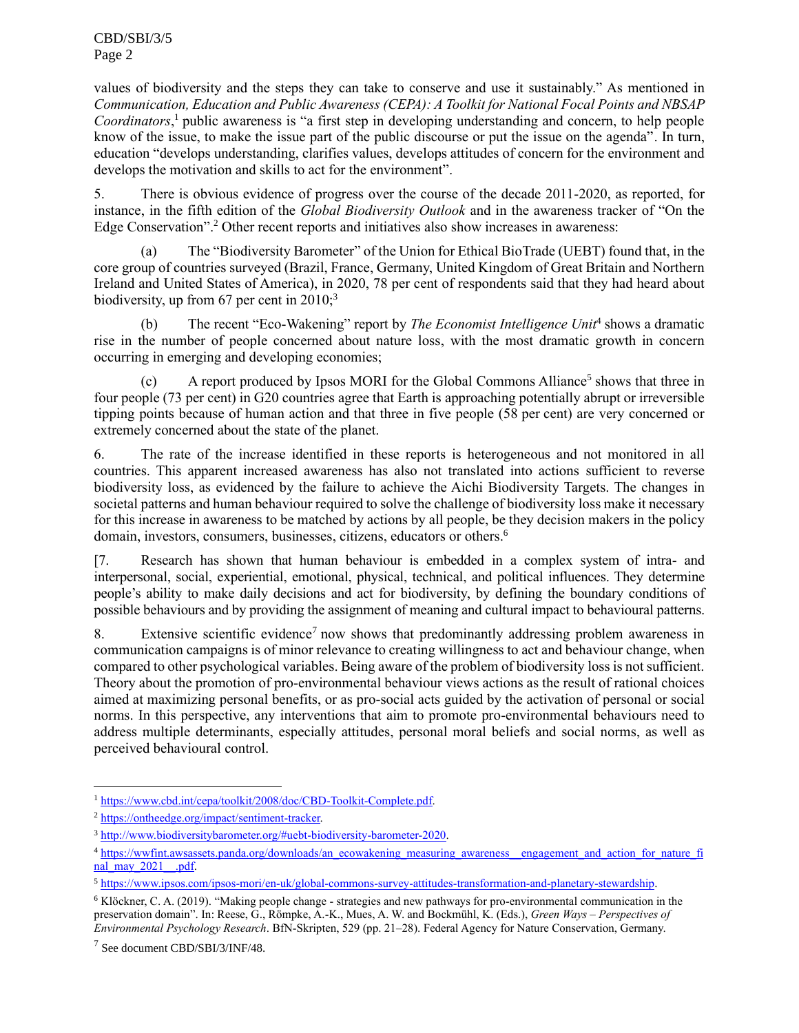values of biodiversity and the steps they can take to conserve and use it sustainably." As mentioned in *Communication, Education and Public Awareness (CEPA): A Toolkit for National Focal Points and NBSAP*  Coordinators,<sup>1</sup> public awareness is "a first step in developing understanding and concern, to help people know of the issue, to make the issue part of the public discourse or put the issue on the agenda". In turn, education "develops understanding, clarifies values, develops attitudes of concern for the environment and develops the motivation and skills to act for the environment".

5. There is obvious evidence of progress over the course of the decade 2011-2020, as reported, for instance, in the fifth edition of the *Global Biodiversity Outlook* and in the awareness tracker of "On the Edge Conservation".<sup>2</sup> Other recent reports and initiatives also show increases in awareness:

(a) The "Biodiversity Barometer" of the Union for Ethical BioTrade (UEBT) found that, in the core group of countries surveyed (Brazil, France, Germany, United Kingdom of Great Britain and Northern Ireland and United States of America), in 2020, 78 per cent of respondents said that they had heard about biodiversity, up from 67 per cent in 2010;<sup>3</sup>

(b) The recent "Eco-Wakening" report by *The Economist Intelligence Unit*<sup>4</sup> shows a dramatic rise in the number of people concerned about nature loss, with the most dramatic growth in concern occurring in emerging and developing economies;

(c) A report produced by Ipsos MORI for the Global Commons Alliance<sup>5</sup> shows that three in four people (73 per cent) in G20 countries agree that Earth is approaching potentially abrupt or irreversible tipping points because of human action and that three in five people (58 per cent) are very concerned or extremely concerned about the state of the planet.

6. The rate of the increase identified in these reports is heterogeneous and not monitored in all countries. This apparent increased awareness has also not translated into actions sufficient to reverse biodiversity loss, as evidenced by the failure to achieve the Aichi Biodiversity Targets. The changes in societal patterns and human behaviour required to solve the challenge of biodiversity loss make it necessary for this increase in awareness to be matched by actions by all people, be they decision makers in the policy domain, investors, consumers, businesses, citizens, educators or others. 6

[7. Research has shown that human behaviour is embedded in a complex system of intra- and interpersonal, social, experiential, emotional, physical, technical, and political influences. They determine people's ability to make daily decisions and act for biodiversity, by defining the boundary conditions of possible behaviours and by providing the assignment of meaning and cultural impact to behavioural patterns.

8. Extensive scientific evidence<sup>7</sup> now shows that predominantly addressing problem awareness in communication campaigns is of minor relevance to creating willingness to act and behaviour change, when compared to other psychological variables. Being aware of the problem of biodiversity loss is not sufficient. Theory about the promotion of pro-environmental behaviour views actions as the result of rational choices aimed at maximizing personal benefits, or as pro-social acts guided by the activation of personal or social norms. In this perspective, any interventions that aim to promote pro-environmental behaviours need to address multiple determinants, especially attitudes, personal moral beliefs and social norms, as well as perceived behavioural control.

<sup>1</sup> [https://www.cbd.int/cepa/toolkit/2008/doc/CBD-Toolkit-Complete.pdf.](https://www.cbd.int/cepa/toolkit/2008/doc/CBD-Toolkit-Complete.pdf)

<sup>2</sup> [https://ontheedge.org/impact/sentiment-tracker.](https://ontheedge.org/impact/sentiment-tracker)

<sup>3</sup> [http://www.biodiversitybarometer.org/#uebt-biodiversity-barometer-2020.](http://www.biodiversitybarometer.org/#uebt-biodiversity-barometer-2020)

<sup>4</sup> [https://wwfint.awsassets.panda.org/downloads/an\\_ecowakening\\_measuring\\_awareness\\_\\_engagement\\_and\\_action\\_for\\_nature\\_fi](https://wwfint.awsassets.panda.org/downloads/an_ecowakening_measuring_awareness__engagement_and_action_for_nature_final_may_2021__.pdf) nal\_may\_2021\_\_.pdf.

<sup>5</sup> [https://www.ipsos.com/ipsos-mori/en-uk/global-commons-survey-attitudes-transformation-and-planetary-stewardship.](https://www.ipsos.com/ipsos-mori/en-uk/global-commons-survey-attitudes-transformation-and-planetary-stewardship)

<sup>6</sup> Klöckner, C. A. (2019). "Making people change - strategies and new pathways for pro-environmental communication in the preservation domain". In: Reese, G., Römpke, A.-K., Mues, A. W. and Bockmühl, K. (Eds.), *Green Ways – Perspectives of Environmental Psychology Research*. BfN-Skripten, 529 (pp. 21–28). Federal Agency for Nature Conservation, Germany.

<sup>7</sup> See document CBD/SBI/3/INF/48.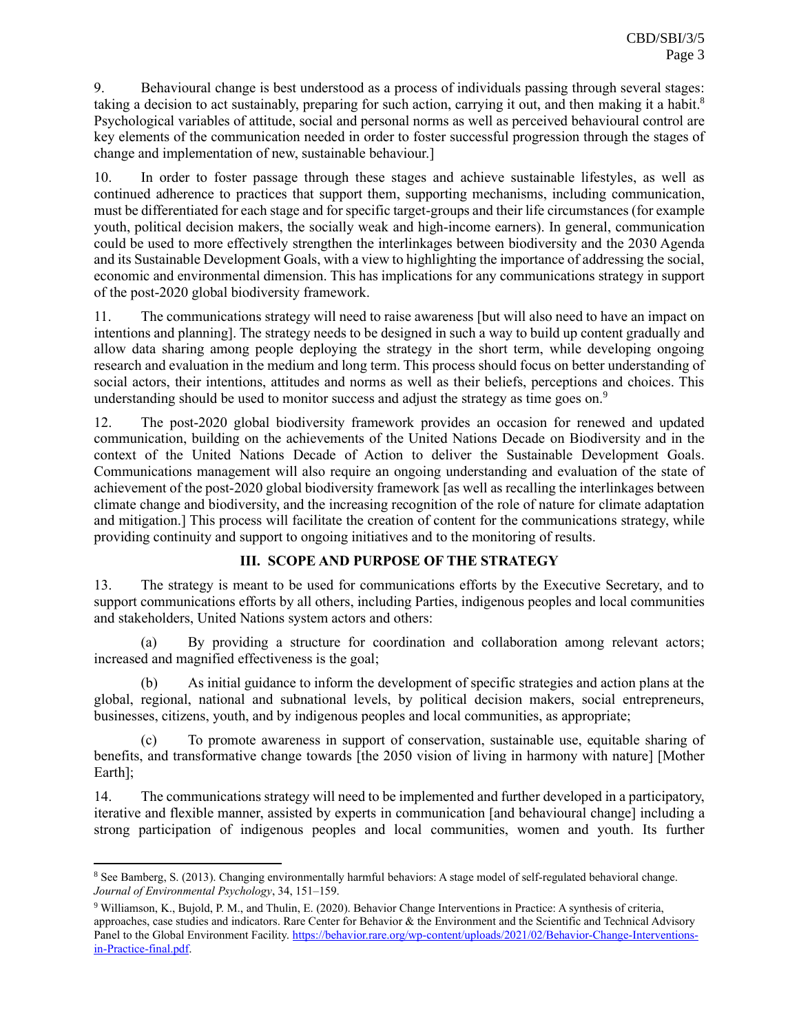9. Behavioural change is best understood as a process of individuals passing through several stages: taking a decision to act sustainably, preparing for such action, carrying it out, and then making it a habit.<sup>8</sup> Psychological variables of attitude, social and personal norms as well as perceived behavioural control are key elements of the communication needed in order to foster successful progression through the stages of change and implementation of new, sustainable behaviour.]

10. In order to foster passage through these stages and achieve sustainable lifestyles, as well as continued adherence to practices that support them, supporting mechanisms, including communication, must be differentiated for each stage and for specific target-groups and their life circumstances (for example youth, political decision makers, the socially weak and high-income earners). In general, communication could be used to more effectively strengthen the interlinkages between biodiversity and the 2030 Agenda and its Sustainable Development Goals, with a view to highlighting the importance of addressing the social, economic and environmental dimension. This has implications for any communications strategy in support of the post-2020 global biodiversity framework.

11. The communications strategy will need to raise awareness [but will also need to have an impact on intentions and planning]. The strategy needs to be designed in such a way to build up content gradually and allow data sharing among people deploying the strategy in the short term, while developing ongoing research and evaluation in the medium and long term. This process should focus on better understanding of social actors, their intentions, attitudes and norms as well as their beliefs, perceptions and choices. This understanding should be used to monitor success and adjust the strategy as time goes on.<sup>9</sup>

12. The post-2020 global biodiversity framework provides an occasion for renewed and updated communication, building on the achievements of the United Nations Decade on Biodiversity and in the context of the United Nations Decade of Action to deliver the Sustainable Development Goals. Communications management will also require an ongoing understanding and evaluation of the state of achievement of the post-2020 global biodiversity framework [as well as recalling the interlinkages between climate change and biodiversity, and the increasing recognition of the role of nature for climate adaptation and mitigation.] This process will facilitate the creation of content for the communications strategy, while providing continuity and support to ongoing initiatives and to the monitoring of results.

# **III. SCOPE AND PURPOSE OF THE STRATEGY**

13. The strategy is meant to be used for communications efforts by the Executive Secretary, and to support communications efforts by all others, including Parties, indigenous peoples and local communities and stakeholders, United Nations system actors and others:

(a) By providing a structure for coordination and collaboration among relevant actors; increased and magnified effectiveness is the goal;

(b) As initial guidance to inform the development of specific strategies and action plans at the global, regional, national and subnational levels, by political decision makers, social entrepreneurs, businesses, citizens, youth, and by indigenous peoples and local communities, as appropriate;

To promote awareness in support of conservation, sustainable use, equitable sharing of benefits, and transformative change towards [the 2050 vision of living in harmony with nature] [Mother Earth];

14. The communications strategy will need to be implemented and further developed in a participatory, iterative and flexible manner, assisted by experts in communication [and behavioural change] including a strong participation of indigenous peoples and local communities, women and youth. Its further

<sup>8</sup> See Bamberg, S. (2013). Changing environmentally harmful behaviors: A stage model of self-regulated behavioral change. *Journal of Environmental Psychology*, 34, 151–159.

<sup>9</sup> Williamson, K., Bujold, P. M., and Thulin, E. (2020). Behavior Change Interventions in Practice: A synthesis of criteria, approaches, case studies and indicators. Rare Center for Behavior & the Environment and the Scientific and Technical Advisory Panel to the Global Environment Facility. [https://behavior.rare.org/wp-content/uploads/2021/02/Behavior-Change-Interventions](https://behavior.rare.org/wp-content/uploads/2021/02/Behavior-Change-Interventions-in-Practice-final.pdf)[in-Practice-final.pdf.](https://behavior.rare.org/wp-content/uploads/2021/02/Behavior-Change-Interventions-in-Practice-final.pdf)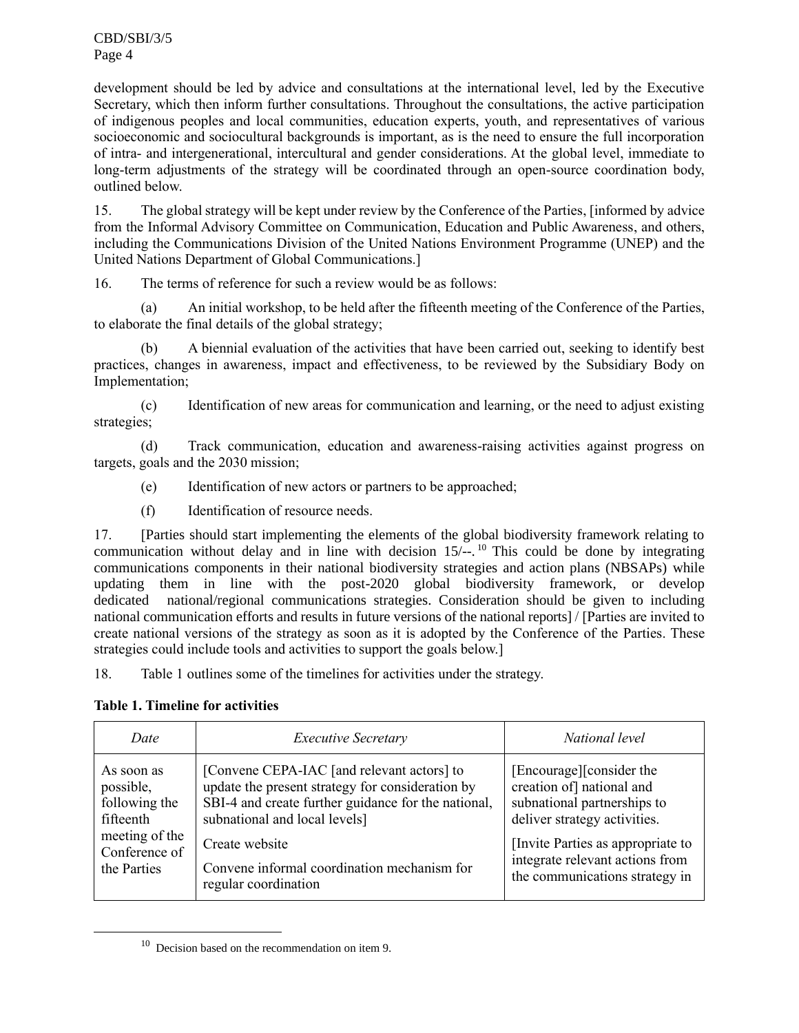development should be led by advice and consultations at the international level, led by the Executive Secretary, which then inform further consultations. Throughout the consultations, the active participation of indigenous peoples and local communities, education experts, youth, and representatives of various socioeconomic and sociocultural backgrounds is important, as is the need to ensure the full incorporation of intra- and intergenerational, intercultural and gender considerations. At the global level, immediate to long-term adjustments of the strategy will be coordinated through an open-source coordination body, outlined below.

15. The global strategy will be kept under review by the Conference of the Parties, [informed by advice from the Informal Advisory Committee on Communication, Education and Public Awareness, and others, including the Communications Division of the United Nations Environment Programme (UNEP) and the United Nations Department of Global Communications.]

16. The terms of reference for such a review would be as follows:

(a) An initial workshop, to be held after the fifteenth meeting of the Conference of the Parties, to elaborate the final details of the global strategy;

(b) A biennial evaluation of the activities that have been carried out, seeking to identify best practices, changes in awareness, impact and effectiveness, to be reviewed by the Subsidiary Body on Implementation;

(c) Identification of new areas for communication and learning, or the need to adjust existing strategies;

(d) Track communication, education and awareness-raising activities against progress on targets, goals and the 2030 mission;

- (e) Identification of new actors or partners to be approached;
- (f) Identification of resource needs.

17. [Parties should start implementing the elements of the global biodiversity framework relating to communication without delay and in line with decision 15/--. <sup>10</sup> This could be done by integrating communications components in their national biodiversity strategies and action plans (NBSAPs) while updating them in line with the post-2020 global biodiversity framework, or develop dedicated national/regional communications strategies. Consideration should be given to including national communication efforts and results in future versions of the national reports] / [Parties are invited to create national versions of the strategy as soon as it is adopted by the Conference of the Parties. These strategies could include tools and activities to support the goals below.]

18. Table 1 outlines some of the timelines for activities under the strategy.

## **Table 1. Timeline for activities**

| Date           | <b>Executive Secretary</b>                          | National level                    |  |
|----------------|-----------------------------------------------------|-----------------------------------|--|
| As soon as     | [Convene CEPA-IAC [and relevant actors] to          | [Encourage][consider the          |  |
| possible,      | update the present strategy for consideration by    | creation of] national and         |  |
| following the  | SBI-4 and create further guidance for the national, | subnational partnerships to       |  |
| fifteenth      | subnational and local levels]                       | deliver strategy activities.      |  |
| meeting of the | Create website                                      | [Invite Parties as appropriate to |  |
| Conference of  | Convene informal coordination mechanism for         | integrate relevant actions from   |  |
| the Parties    | regular coordination                                | the communications strategy in    |  |

 $10$  Decision based on the recommendation on item 9.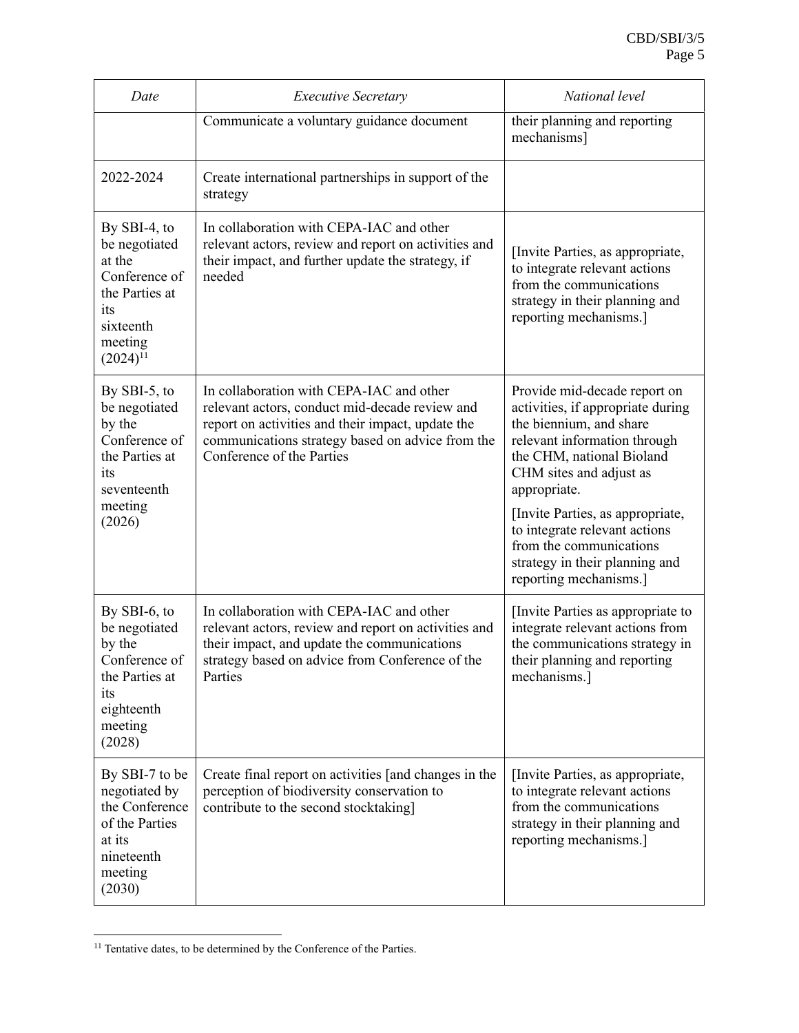| Date                                                                                                                          | <b>Executive Secretary</b>                                                                                                                                                                                                       | National level                                                                                                                                                                                                                                                                                                                                                   |  |
|-------------------------------------------------------------------------------------------------------------------------------|----------------------------------------------------------------------------------------------------------------------------------------------------------------------------------------------------------------------------------|------------------------------------------------------------------------------------------------------------------------------------------------------------------------------------------------------------------------------------------------------------------------------------------------------------------------------------------------------------------|--|
|                                                                                                                               | Communicate a voluntary guidance document                                                                                                                                                                                        | their planning and reporting<br>mechanisms]                                                                                                                                                                                                                                                                                                                      |  |
| 2022-2024                                                                                                                     | Create international partnerships in support of the<br>strategy                                                                                                                                                                  |                                                                                                                                                                                                                                                                                                                                                                  |  |
| By $SBI-4$ , to<br>be negotiated<br>at the<br>Conference of<br>the Parties at<br>its<br>sixteenth<br>meeting<br>$(2024)^{11}$ | In collaboration with CEPA-IAC and other<br>relevant actors, review and report on activities and<br>their impact, and further update the strategy, if<br>needed                                                                  | [Invite Parties, as appropriate,<br>to integrate relevant actions<br>from the communications<br>strategy in their planning and<br>reporting mechanisms.]                                                                                                                                                                                                         |  |
| By SBI-5, to<br>be negotiated<br>by the<br>Conference of<br>the Parties at<br>its<br>seventeenth<br>meeting<br>(2026)         | In collaboration with CEPA-IAC and other<br>relevant actors, conduct mid-decade review and<br>report on activities and their impact, update the<br>communications strategy based on advice from the<br>Conference of the Parties | Provide mid-decade report on<br>activities, if appropriate during<br>the biennium, and share<br>relevant information through<br>the CHM, national Bioland<br>CHM sites and adjust as<br>appropriate.<br>[Invite Parties, as appropriate,<br>to integrate relevant actions<br>from the communications<br>strategy in their planning and<br>reporting mechanisms.] |  |
| By SBI-6, to<br>be negotiated<br>by the<br>Conference of<br>the Parties at<br>its<br>eighteenth<br>meeting<br>(2028)          | In collaboration with CEPA-IAC and other<br>relevant actors, review and report on activities and<br>their impact, and update the communications<br>strategy based on advice from Conference of the<br>Parties                    | [Invite Parties as appropriate to<br>integrate relevant actions from<br>the communications strategy in<br>their planning and reporting<br>mechanisms.]                                                                                                                                                                                                           |  |
| By SBI-7 to be<br>negotiated by<br>the Conference<br>of the Parties<br>at its<br>nineteenth<br>meeting<br>(2030)              | Create final report on activities [and changes in the<br>perception of biodiversity conservation to<br>contribute to the second stocktaking]                                                                                     | [Invite Parties, as appropriate,<br>to integrate relevant actions<br>from the communications<br>strategy in their planning and<br>reporting mechanisms.]                                                                                                                                                                                                         |  |

 $^{11}$  Tentative dates, to be determined by the Conference of the Parties.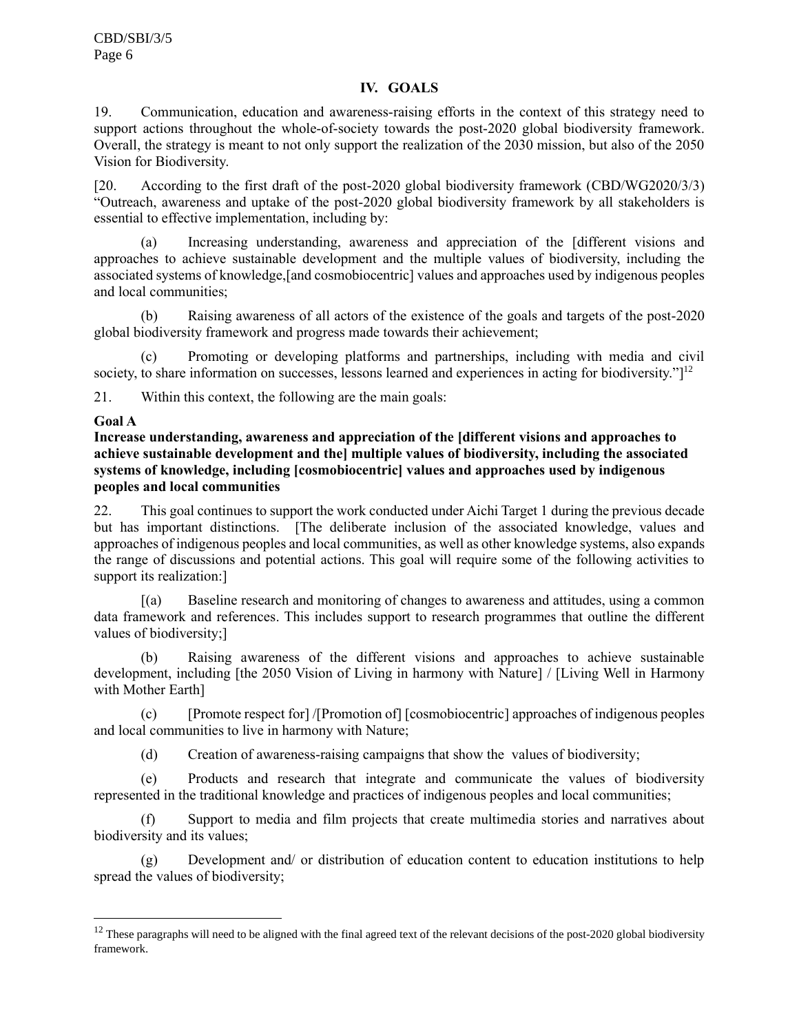## **IV. GOALS**

19. Communication, education and awareness-raising efforts in the context of this strategy need to support actions throughout the whole-of-society towards the post-2020 global biodiversity framework. Overall, the strategy is meant to not only support the realization of the 2030 mission, but also of the 2050 Vision for Biodiversity.

[20. According to the first draft of the post-2020 global biodiversity framework (CBD/WG2020/3/3) "Outreach, awareness and uptake of the post-2020 global biodiversity framework by all stakeholders is essential to effective implementation, including by:

(a) Increasing understanding, awareness and appreciation of the [different visions and approaches to achieve sustainable development and the multiple values of biodiversity, including the associated systems of knowledge,[and cosmobiocentric] values and approaches used by indigenous peoples and local communities;

(b) Raising awareness of all actors of the existence of the goals and targets of the post-2020 global biodiversity framework and progress made towards their achievement;

(c) Promoting or developing platforms and partnerships, including with media and civil society, to share information on successes, lessons learned and experiences in acting for biodiversity."]<sup>12</sup>

21. Within this context, the following are the main goals:

## **Goal A**

## **Increase understanding, awareness and appreciation of the [different visions and approaches to achieve sustainable development and the] multiple values of biodiversity, including the associated systems of knowledge, including [cosmobiocentric] values and approaches used by indigenous peoples and local communities**

22. This goal continues to support the work conducted under Aichi Target 1 during the previous decade but has important distinctions. [The deliberate inclusion of the associated knowledge, values and approaches of indigenous peoples and local communities, as well as other knowledge systems, also expands the range of discussions and potential actions. This goal will require some of the following activities to support its realization:]

[(a) Baseline research and monitoring of changes to awareness and attitudes, using a common data framework and references. This includes support to research programmes that outline the different values of biodiversity;]

Raising awareness of the different visions and approaches to achieve sustainable development, including [the 2050 Vision of Living in harmony with Nature] / [Living Well in Harmony with Mother Earth]

(c) [Promote respect for] /[Promotion of] [cosmobiocentric] approaches of indigenous peoples and local communities to live in harmony with Nature;

(d) Creation of awareness-raising campaigns that show the values of biodiversity;

(e) Products and research that integrate and communicate the values of biodiversity represented in the traditional knowledge and practices of indigenous peoples and local communities;

(f) Support to media and film projects that create multimedia stories and narratives about biodiversity and its values;

(g) Development and/ or distribution of education content to education institutions to help spread the values of biodiversity;

 $12$  These paragraphs will need to be aligned with the final agreed text of the relevant decisions of the post-2020 global biodiversity framework.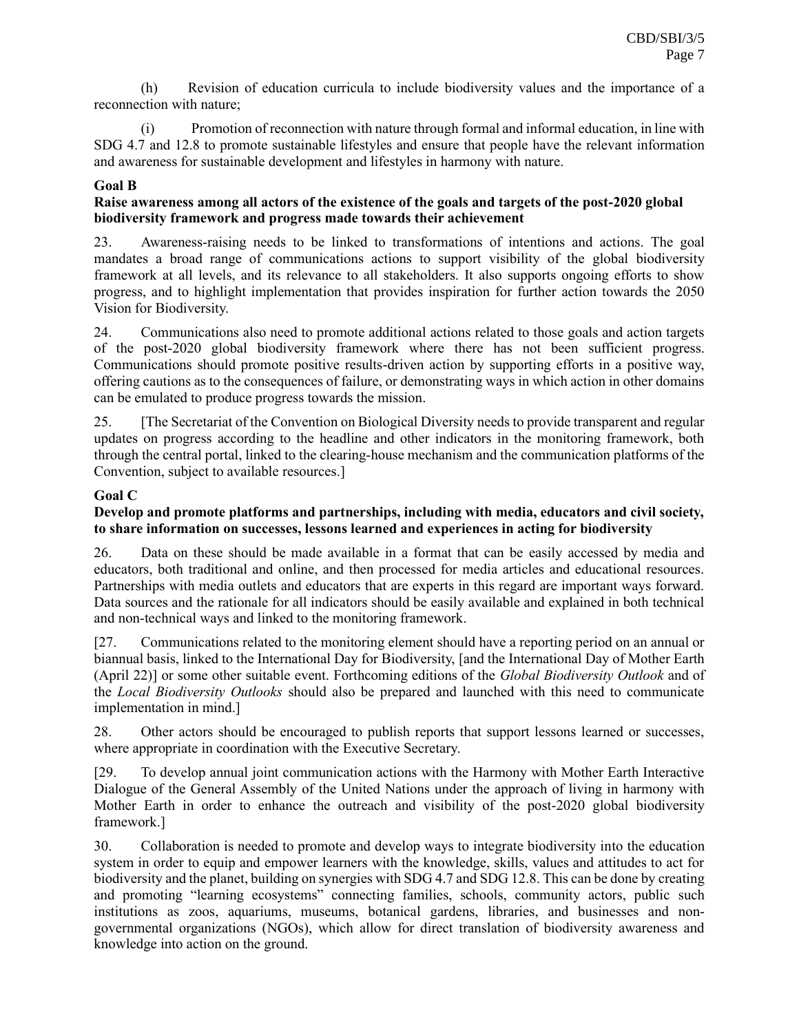(h) Revision of education curricula to include biodiversity values and the importance of a reconnection with nature;

(i) Promotion of reconnection with nature through formal and informal education, in line with SDG 4.7 and 12.8 to promote sustainable lifestyles and ensure that people have the relevant information and awareness for sustainable development and lifestyles in harmony with nature.

#### **Goal B**

## **Raise awareness among all actors of the existence of the goals and targets of the post-2020 global biodiversity framework and progress made towards their achievement**

23. Awareness-raising needs to be linked to transformations of intentions and actions. The goal mandates a broad range of communications actions to support visibility of the global biodiversity framework at all levels, and its relevance to all stakeholders. It also supports ongoing efforts to show progress, and to highlight implementation that provides inspiration for further action towards the 2050 Vision for Biodiversity.

24. Communications also need to promote additional actions related to those goals and action targets of the post-2020 global biodiversity framework where there has not been sufficient progress. Communications should promote positive results-driven action by supporting efforts in a positive way, offering cautions as to the consequences of failure, or demonstrating ways in which action in other domains can be emulated to produce progress towards the mission.

25. [The Secretariat of the Convention on Biological Diversity needs to provide transparent and regular updates on progress according to the headline and other indicators in the monitoring framework, both through the central portal, linked to the clearing-house mechanism and the communication platforms of the Convention, subject to available resources.]

## **Goal C**

## **Develop and promote platforms and partnerships, including with media, educators and civil society, to share information on successes, lessons learned and experiences in acting for biodiversity**

26. Data on these should be made available in a format that can be easily accessed by media and educators, both traditional and online, and then processed for media articles and educational resources. Partnerships with media outlets and educators that are experts in this regard are important ways forward. Data sources and the rationale for all indicators should be easily available and explained in both technical and non-technical ways and linked to the monitoring framework.

[27. Communications related to the monitoring element should have a reporting period on an annual or biannual basis, linked to the International Day for Biodiversity, [and the International Day of Mother Earth (April 22)] or some other suitable event. Forthcoming editions of the *Global Biodiversity Outlook* and of the *Local Biodiversity Outlooks* should also be prepared and launched with this need to communicate implementation in mind.]

28. Other actors should be encouraged to publish reports that support lessons learned or successes, where appropriate in coordination with the Executive Secretary.

[29. To develop annual joint communication actions with the Harmony with Mother Earth Interactive Dialogue of the General Assembly of the United Nations under the approach of living in harmony with Mother Earth in order to enhance the outreach and visibility of the post-2020 global biodiversity framework.]

30. Collaboration is needed to promote and develop ways to integrate biodiversity into the education system in order to equip and empower learners with the knowledge, skills, values and attitudes to act for biodiversity and the planet, building on synergies with SDG 4.7 and SDG 12.8. This can be done by creating and promoting "learning ecosystems" connecting families, schools, community actors, public such institutions as zoos, aquariums, museums, botanical gardens, libraries, and businesses and nongovernmental organizations (NGOs), which allow for direct translation of biodiversity awareness and knowledge into action on the ground.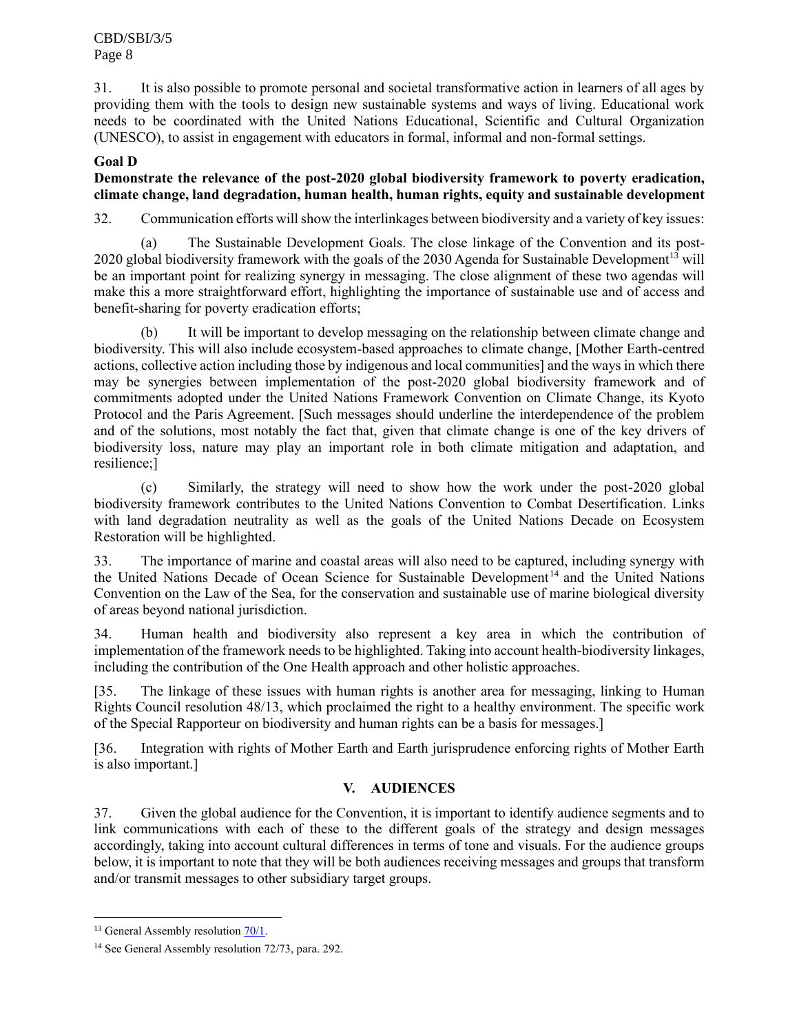31. It is also possible to promote personal and societal transformative action in learners of all ages by providing them with the tools to design new sustainable systems and ways of living. Educational work needs to be coordinated with the United Nations Educational, Scientific and Cultural Organization (UNESCO), to assist in engagement with educators in formal, informal and non-formal settings.

# **Goal D**

## **Demonstrate the relevance of the post-2020 global biodiversity framework to poverty eradication, climate change, land degradation, human health, human rights, equity and sustainable development**

32. Communication efforts will show the interlinkages between biodiversity and a variety of key issues:

(a) The Sustainable Development Goals. The close linkage of the Convention and its post-2020 global biodiversity framework with the goals of the 2030 Agenda for Sustainable Development<sup>13</sup> will be an important point for realizing synergy in messaging. The close alignment of these two agendas will make this a more straightforward effort, highlighting the importance of sustainable use and of access and benefit-sharing for poverty eradication efforts;

(b) It will be important to develop messaging on the relationship between climate change and biodiversity. This will also include ecosystem-based approaches to climate change, [Mother Earth-centred actions, collective action including those by indigenous and local communities] and the ways in which there may be synergies between implementation of the post-2020 global biodiversity framework and of commitments adopted under the United Nations Framework Convention on Climate Change, its Kyoto Protocol and the Paris Agreement. [Such messages should underline the interdependence of the problem and of the solutions, most notably the fact that, given that climate change is one of the key drivers of biodiversity loss, nature may play an important role in both climate mitigation and adaptation, and resilience;]

(c) Similarly, the strategy will need to show how the work under the post-2020 global biodiversity framework contributes to the United Nations Convention to Combat Desertification. Links with land degradation neutrality as well as the goals of the United Nations Decade on Ecosystem Restoration will be highlighted.

33. The importance of marine and coastal areas will also need to be captured, including synergy with the United Nations Decade of Ocean Science for Sustainable Development<sup>14</sup> and the United Nations Convention on the Law of the Sea, for the conservation and sustainable use of marine biological diversity of areas beyond national jurisdiction.

34. Human health and biodiversity also represent a key area in which the contribution of implementation of the framework needs to be highlighted. Taking into account health-biodiversity linkages, including the contribution of the One Health approach and other holistic approaches.

[35. The linkage of these issues with human rights is another area for messaging, linking to Human Rights Council resolution 48/13, which proclaimed the right to a healthy environment. The specific work of the Special Rapporteur on biodiversity and human rights can be a basis for messages.]

[36. Integration with rights of Mother Earth and Earth jurisprudence enforcing rights of Mother Earth is also important.]

# **V. AUDIENCES**

37. Given the global audience for the Convention, it is important to identify audience segments and to link communications with each of these to the different goals of the strategy and design messages accordingly, taking into account cultural differences in terms of tone and visuals. For the audience groups below, it is important to note that they will be both audiences receiving messages and groups that transform and/or transmit messages to other subsidiary target groups.

<sup>&</sup>lt;sup>13</sup> General Assembly resolution  $\frac{70}{1}$ .

<sup>&</sup>lt;sup>14</sup> See General Assembly resolution 72/73, para. 292.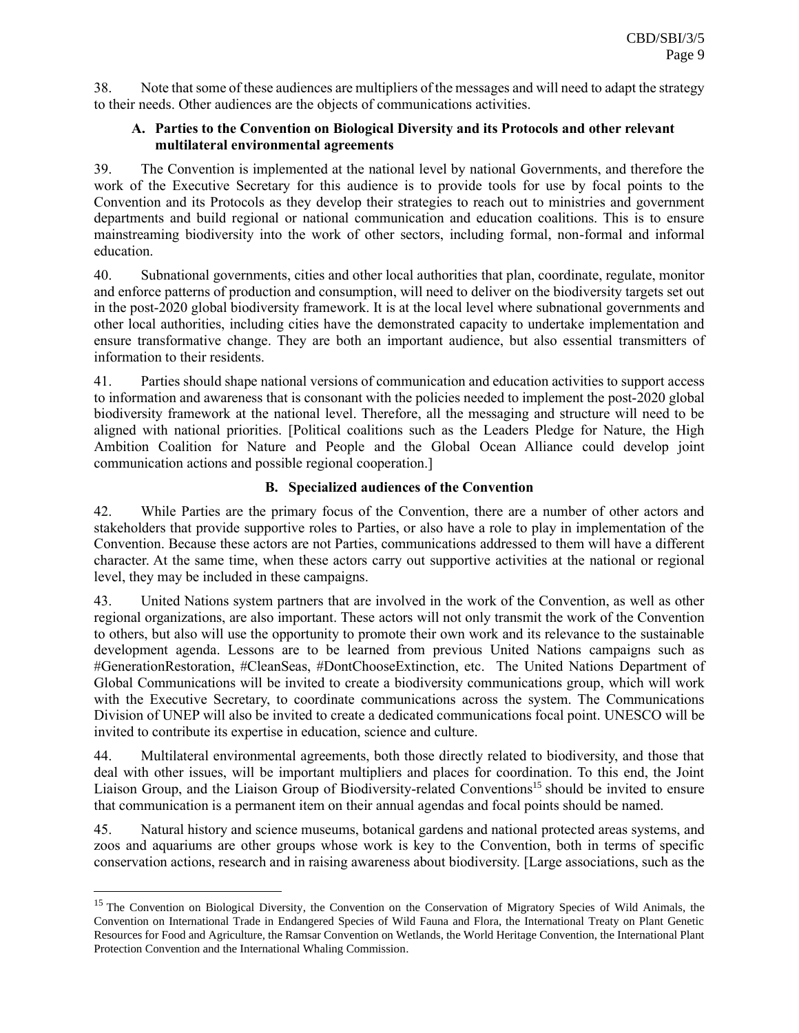38. Note that some of these audiences are multipliers of the messages and will need to adapt the strategy to their needs. Other audiences are the objects of communications activities.

#### **A. Parties to the Convention on Biological Diversity and its Protocols and other relevant multilateral environmental agreements**

39. The Convention is implemented at the national level by national Governments, and therefore the work of the Executive Secretary for this audience is to provide tools for use by focal points to the Convention and its Protocols as they develop their strategies to reach out to ministries and government departments and build regional or national communication and education coalitions. This is to ensure mainstreaming biodiversity into the work of other sectors, including formal, non-formal and informal education.

40. Subnational governments, cities and other local authorities that plan, coordinate, regulate, monitor and enforce patterns of production and consumption, will need to deliver on the biodiversity targets set out in the post-2020 global biodiversity framework. It is at the local level where subnational governments and other local authorities, including cities have the demonstrated capacity to undertake implementation and ensure transformative change. They are both an important audience, but also essential transmitters of information to their residents.

41. Parties should shape national versions of communication and education activities to support access to information and awareness that is consonant with the policies needed to implement the post-2020 global biodiversity framework at the national level. Therefore, all the messaging and structure will need to be aligned with national priorities. [Political coalitions such as the Leaders Pledge for Nature, the High Ambition Coalition for Nature and People and the Global Ocean Alliance could develop joint communication actions and possible regional cooperation.]

# **B. Specialized audiences of the Convention**

42. While Parties are the primary focus of the Convention, there are a number of other actors and stakeholders that provide supportive roles to Parties, or also have a role to play in implementation of the Convention. Because these actors are not Parties, communications addressed to them will have a different character. At the same time, when these actors carry out supportive activities at the national or regional level, they may be included in these campaigns.

43. United Nations system partners that are involved in the work of the Convention, as well as other regional organizations, are also important. These actors will not only transmit the work of the Convention to others, but also will use the opportunity to promote their own work and its relevance to the sustainable development agenda. Lessons are to be learned from previous United Nations campaigns such as #GenerationRestoration, #CleanSeas, #DontChooseExtinction, etc. The United Nations Department of Global Communications will be invited to create a biodiversity communications group, which will work with the Executive Secretary, to coordinate communications across the system. The Communications Division of UNEP will also be invited to create a dedicated communications focal point. UNESCO will be invited to contribute its expertise in education, science and culture.

44. Multilateral environmental agreements, both those directly related to biodiversity, and those that deal with other issues, will be important multipliers and places for coordination. To this end, the Joint Liaison Group, and the Liaison Group of Biodiversity-related Conventions<sup>15</sup> should be invited to ensure that communication is a permanent item on their annual agendas and focal points should be named.

45. Natural history and science museums, botanical gardens and national protected areas systems, and zoos and aquariums are other groups whose work is key to the Convention, both in terms of specific conservation actions, research and in raising awareness about biodiversity. [Large associations, such as the

<sup>&</sup>lt;sup>15</sup> The Convention on Biological Diversity, the Convention on the Conservation of Migratory Species of Wild Animals, the Convention on International Trade in Endangered Species of Wild Fauna and Flora, the International Treaty on Plant Genetic Resources for Food and Agriculture, the Ramsar Convention on Wetlands, the World Heritage Convention, the International Plant Protection Convention and the International Whaling Commission.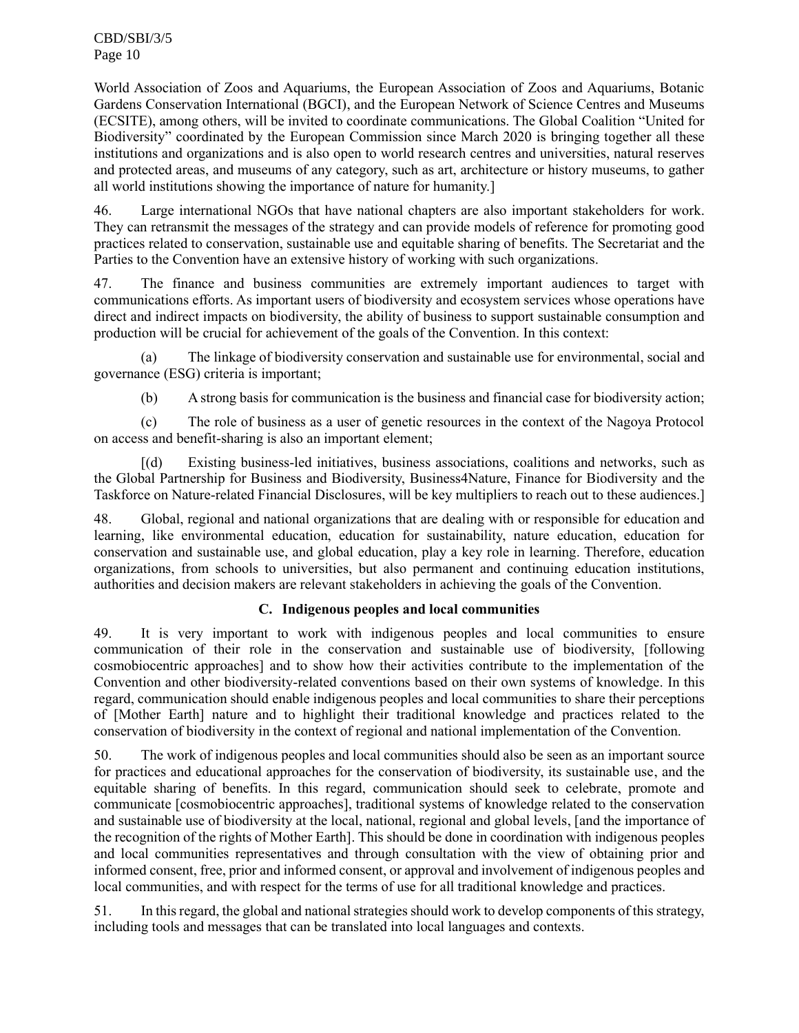World Association of Zoos and Aquariums, the European Association of Zoos and Aquariums, Botanic Gardens Conservation International (BGCI), and the European Network of Science Centres and Museums (ECSITE), among others, will be invited to coordinate communications. The Global Coalition "United for Biodiversity" coordinated by the European Commission since March 2020 is bringing together all these institutions and organizations and is also open to world research centres and universities, natural reserves and protected areas, and museums of any category, such as art, architecture or history museums, to gather all world institutions showing the importance of nature for humanity.]

46. Large international NGOs that have national chapters are also important stakeholders for work. They can retransmit the messages of the strategy and can provide models of reference for promoting good practices related to conservation, sustainable use and equitable sharing of benefits. The Secretariat and the Parties to the Convention have an extensive history of working with such organizations.

47. The finance and business communities are extremely important audiences to target with communications efforts. As important users of biodiversity and ecosystem services whose operations have direct and indirect impacts on biodiversity, the ability of business to support sustainable consumption and production will be crucial for achievement of the goals of the Convention. In this context:

(a) The linkage of biodiversity conservation and sustainable use for environmental, social and governance (ESG) criteria is important;

(b) A strong basis for communication is the business and financial case for biodiversity action;

(c) The role of business as a user of genetic resources in the context of the Nagoya Protocol on access and benefit-sharing is also an important element;

[(d) Existing business-led initiatives, business associations, coalitions and networks, such as the Global Partnership for Business and Biodiversity, Business4Nature, Finance for Biodiversity and the Taskforce on Nature-related Financial Disclosures, will be key multipliers to reach out to these audiences.]

48. Global, regional and national organizations that are dealing with or responsible for education and learning, like environmental education, education for sustainability, nature education, education for conservation and sustainable use, and global education, play a key role in learning. Therefore, education organizations, from schools to universities, but also permanent and continuing education institutions, authorities and decision makers are relevant stakeholders in achieving the goals of the Convention.

## **C. Indigenous peoples and local communities**

49. It is very important to work with indigenous peoples and local communities to ensure communication of their role in the conservation and sustainable use of biodiversity, [following cosmobiocentric approaches] and to show how their activities contribute to the implementation of the Convention and other biodiversity-related conventions based on their own systems of knowledge. In this regard, communication should enable indigenous peoples and local communities to share their perceptions of [Mother Earth] nature and to highlight their traditional knowledge and practices related to the conservation of biodiversity in the context of regional and national implementation of the Convention.

50. The work of indigenous peoples and local communities should also be seen as an important source for practices and educational approaches for the conservation of biodiversity, its sustainable use, and the equitable sharing of benefits. In this regard, communication should seek to celebrate, promote and communicate [cosmobiocentric approaches], traditional systems of knowledge related to the conservation and sustainable use of biodiversity at the local, national, regional and global levels, [and the importance of the recognition of the rights of Mother Earth]. This should be done in coordination with indigenous peoples and local communities representatives and through consultation with the view of obtaining prior and informed consent, free, prior and informed consent, or approval and involvement of indigenous peoples and local communities, and with respect for the terms of use for all traditional knowledge and practices.

51. In this regard, the global and national strategies should work to develop components of this strategy, including tools and messages that can be translated into local languages and contexts.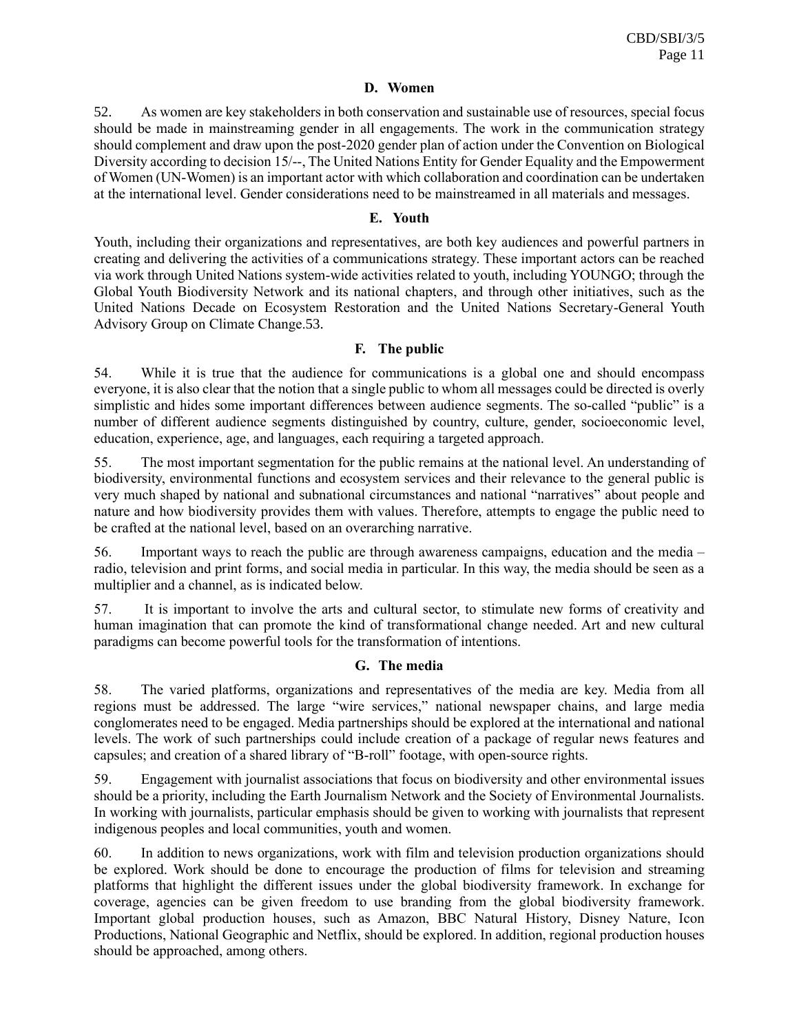#### **D. Women**

52. As women are key stakeholders in both conservation and sustainable use of resources, special focus should be made in mainstreaming gender in all engagements. The work in the communication strategy should complement and draw upon the post-2020 gender plan of action under the Convention on Biological Diversity according to decision 15/--, The United Nations Entity for Gender Equality and the Empowerment of Women (UN-Women) is an important actor with which collaboration and coordination can be undertaken at the international level. Gender considerations need to be mainstreamed in all materials and messages.

#### **E. Youth**

Youth, including their organizations and representatives, are both key audiences and powerful partners in creating and delivering the activities of a communications strategy. These important actors can be reached via work through United Nations system-wide activities related to youth, including YOUNGO; through the Global Youth Biodiversity Network and its national chapters, and through other initiatives, such as the United Nations Decade on Ecosystem Restoration and the United Nations Secretary-General Youth Advisory Group on Climate Change.53.

## **F. The public**

54. While it is true that the audience for communications is a global one and should encompass everyone, it is also clear that the notion that a single public to whom all messages could be directed is overly simplistic and hides some important differences between audience segments. The so-called "public" is a number of different audience segments distinguished by country, culture, gender, socioeconomic level, education, experience, age, and languages, each requiring a targeted approach.

55. The most important segmentation for the public remains at the national level. An understanding of biodiversity, environmental functions and ecosystem services and their relevance to the general public is very much shaped by national and subnational circumstances and national "narratives" about people and nature and how biodiversity provides them with values. Therefore, attempts to engage the public need to be crafted at the national level, based on an overarching narrative.

56. Important ways to reach the public are through awareness campaigns, education and the media – radio, television and print forms, and social media in particular. In this way, the media should be seen as a multiplier and a channel, as is indicated below.

57. It is important to involve the arts and cultural sector, to stimulate new forms of creativity and human imagination that can promote the kind of transformational change needed. Art and new cultural paradigms can become powerful tools for the transformation of intentions.

## **G. The media**

58. The varied platforms, organizations and representatives of the media are key. Media from all regions must be addressed. The large "wire services," national newspaper chains, and large media conglomerates need to be engaged. Media partnerships should be explored at the international and national levels. The work of such partnerships could include creation of a package of regular news features and capsules; and creation of a shared library of "B-roll" footage, with open-source rights.

59. Engagement with journalist associations that focus on biodiversity and other environmental issues should be a priority, including the Earth Journalism Network and the Society of Environmental Journalists. In working with journalists, particular emphasis should be given to working with journalists that represent indigenous peoples and local communities, youth and women.

60. In addition to news organizations, work with film and television production organizations should be explored. Work should be done to encourage the production of films for television and streaming platforms that highlight the different issues under the global biodiversity framework. In exchange for coverage, agencies can be given freedom to use branding from the global biodiversity framework. Important global production houses, such as Amazon, BBC Natural History, Disney Nature, Icon Productions, National Geographic and Netflix, should be explored. In addition, regional production houses should be approached, among others.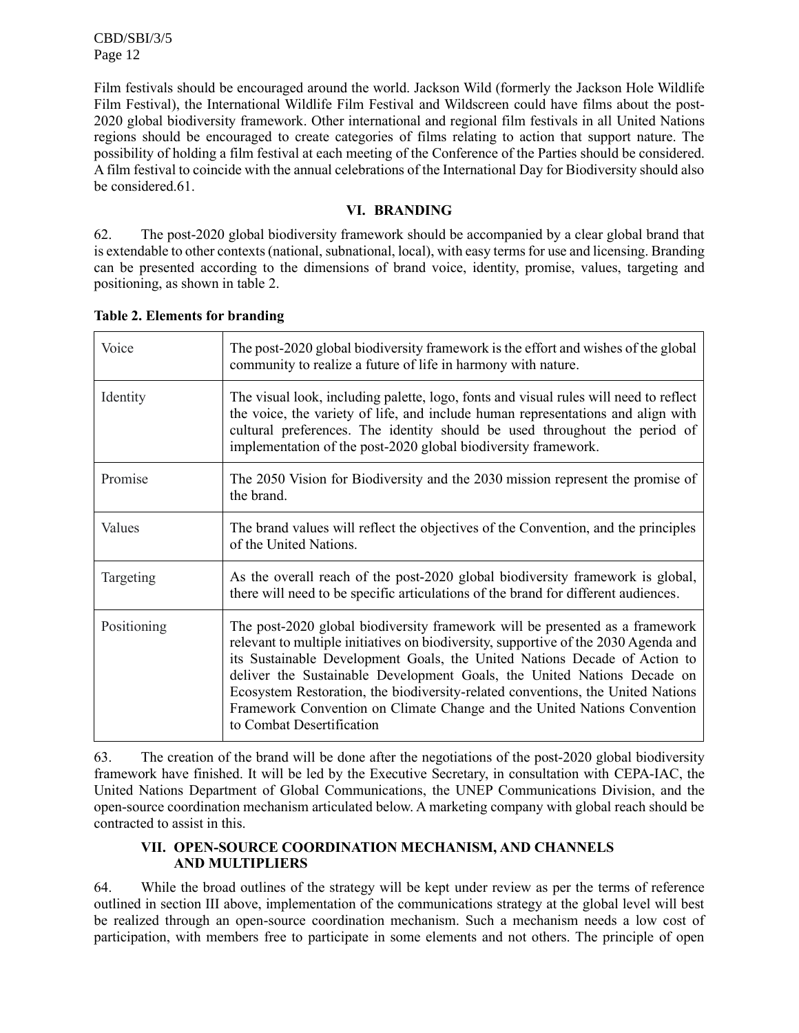Film festivals should be encouraged around the world. Jackson Wild (formerly the Jackson Hole Wildlife Film Festival), the International Wildlife Film Festival and Wildscreen could have films about the post-2020 global biodiversity framework. Other international and regional film festivals in all United Nations regions should be encouraged to create categories of films relating to action that support nature. The possibility of holding a film festival at each meeting of the Conference of the Parties should be considered. A film festival to coincide with the annual celebrations of the International Day for Biodiversity should also be considered.61.

## **VI. BRANDING**

62. The post-2020 global biodiversity framework should be accompanied by a clear global brand that is extendable to other contexts (national, subnational, local), with easy terms for use and licensing. Branding can be presented according to the dimensions of brand voice, identity, promise, values, targeting and positioning, as shown in table 2.

| Voice       | The post-2020 global biodiversity framework is the effort and wishes of the global<br>community to realize a future of life in harmony with nature.                                                                                                                                                                                                                                                                                                                                                                     |
|-------------|-------------------------------------------------------------------------------------------------------------------------------------------------------------------------------------------------------------------------------------------------------------------------------------------------------------------------------------------------------------------------------------------------------------------------------------------------------------------------------------------------------------------------|
| Identity    | The visual look, including palette, logo, fonts and visual rules will need to reflect<br>the voice, the variety of life, and include human representations and align with<br>cultural preferences. The identity should be used throughout the period of<br>implementation of the post-2020 global biodiversity framework.                                                                                                                                                                                               |
| Promise     | The 2050 Vision for Biodiversity and the 2030 mission represent the promise of<br>the brand.                                                                                                                                                                                                                                                                                                                                                                                                                            |
| Values      | The brand values will reflect the objectives of the Convention, and the principles<br>of the United Nations.                                                                                                                                                                                                                                                                                                                                                                                                            |
| Targeting   | As the overall reach of the post-2020 global biodiversity framework is global,<br>there will need to be specific articulations of the brand for different audiences.                                                                                                                                                                                                                                                                                                                                                    |
| Positioning | The post-2020 global biodiversity framework will be presented as a framework<br>relevant to multiple initiatives on biodiversity, supportive of the 2030 Agenda and<br>its Sustainable Development Goals, the United Nations Decade of Action to<br>deliver the Sustainable Development Goals, the United Nations Decade on<br>Ecosystem Restoration, the biodiversity-related conventions, the United Nations<br>Framework Convention on Climate Change and the United Nations Convention<br>to Combat Desertification |

**Table 2. Elements for branding**

63. The creation of the brand will be done after the negotiations of the post-2020 global biodiversity framework have finished. It will be led by the Executive Secretary, in consultation with CEPA-IAC, the United Nations Department of Global Communications, the UNEP Communications Division, and the open-source coordination mechanism articulated below. A marketing company with global reach should be contracted to assist in this.

## **VII. OPEN-SOURCE COORDINATION MECHANISM, AND CHANNELS AND MULTIPLIERS**

64. While the broad outlines of the strategy will be kept under review as per the terms of reference outlined in section III above, implementation of the communications strategy at the global level will best be realized through an open-source coordination mechanism. Such a mechanism needs a low cost of participation, with members free to participate in some elements and not others. The principle of open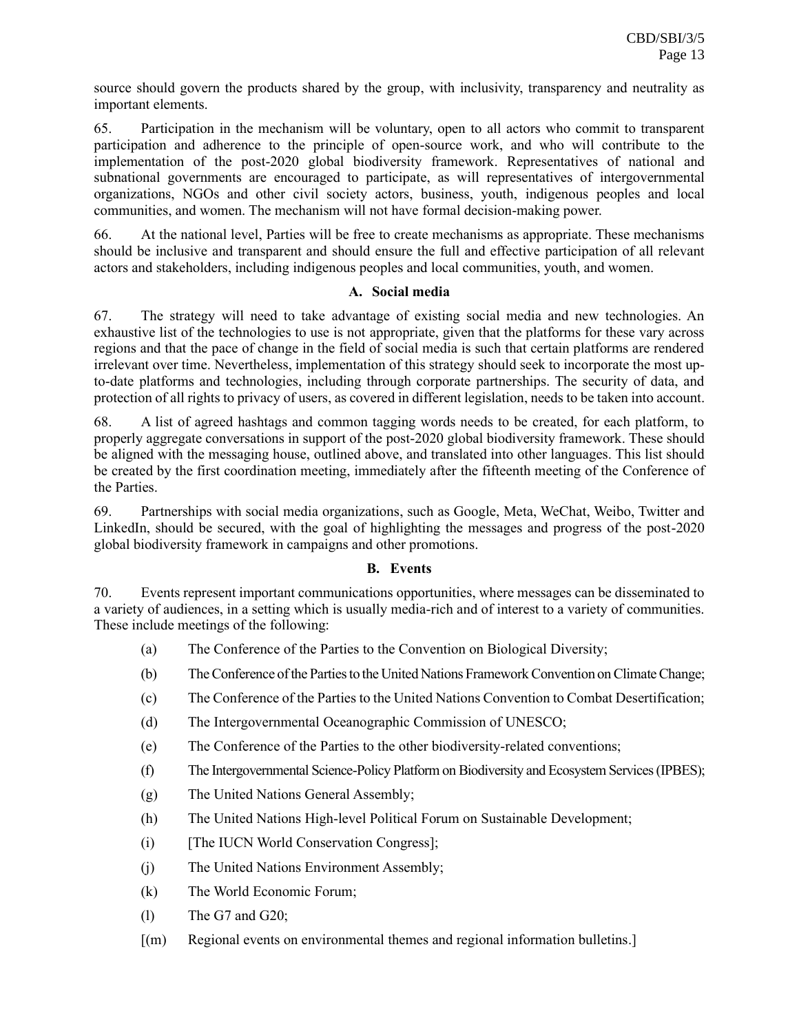source should govern the products shared by the group, with inclusivity, transparency and neutrality as important elements.

65. Participation in the mechanism will be voluntary, open to all actors who commit to transparent participation and adherence to the principle of open-source work, and who will contribute to the implementation of the post-2020 global biodiversity framework. Representatives of national and subnational governments are encouraged to participate, as will representatives of intergovernmental organizations, NGOs and other civil society actors, business, youth, indigenous peoples and local communities, and women. The mechanism will not have formal decision-making power.

66. At the national level, Parties will be free to create mechanisms as appropriate. These mechanisms should be inclusive and transparent and should ensure the full and effective participation of all relevant actors and stakeholders, including indigenous peoples and local communities, youth, and women.

## **A. Social media**

67. The strategy will need to take advantage of existing social media and new technologies. An exhaustive list of the technologies to use is not appropriate, given that the platforms for these vary across regions and that the pace of change in the field of social media is such that certain platforms are rendered irrelevant over time. Nevertheless, implementation of this strategy should seek to incorporate the most upto-date platforms and technologies, including through corporate partnerships. The security of data, and protection of all rights to privacy of users, as covered in different legislation, needs to be taken into account.

68. A list of agreed hashtags and common tagging words needs to be created, for each platform, to properly aggregate conversations in support of the post-2020 global biodiversity framework. These should be aligned with the messaging house, outlined above, and translated into other languages. This list should be created by the first coordination meeting, immediately after the fifteenth meeting of the Conference of the Parties.

69. Partnerships with social media organizations, such as Google, Meta, WeChat, Weibo, Twitter and LinkedIn, should be secured, with the goal of highlighting the messages and progress of the post-2020 global biodiversity framework in campaigns and other promotions.

## **B. Events**

70. Events represent important communications opportunities, where messages can be disseminated to a variety of audiences, in a setting which is usually media-rich and of interest to a variety of communities. These include meetings of the following:

- (a) The Conference of the Parties to the Convention on Biological Diversity;
- (b) The Conference of the Parties to the United Nations Framework Convention on Climate Change;
- (c) The Conference of the Parties to the United Nations Convention to Combat Desertification;
- (d) The Intergovernmental Oceanographic Commission of UNESCO;
- (e) The Conference of the Parties to the other biodiversity-related conventions;
- (f) The Intergovernmental Science-Policy Platform on Biodiversity and Ecosystem Services (IPBES);
- (g) The United Nations General Assembly;
- (h) The United Nations High-level Political Forum on Sustainable Development;
- (i) [The IUCN World Conservation Congress];
- (j) The United Nations Environment Assembly;
- (k) The World Economic Forum;
- (l) The G7 and G20;
- [(m) Regional events on environmental themes and regional information bulletins.]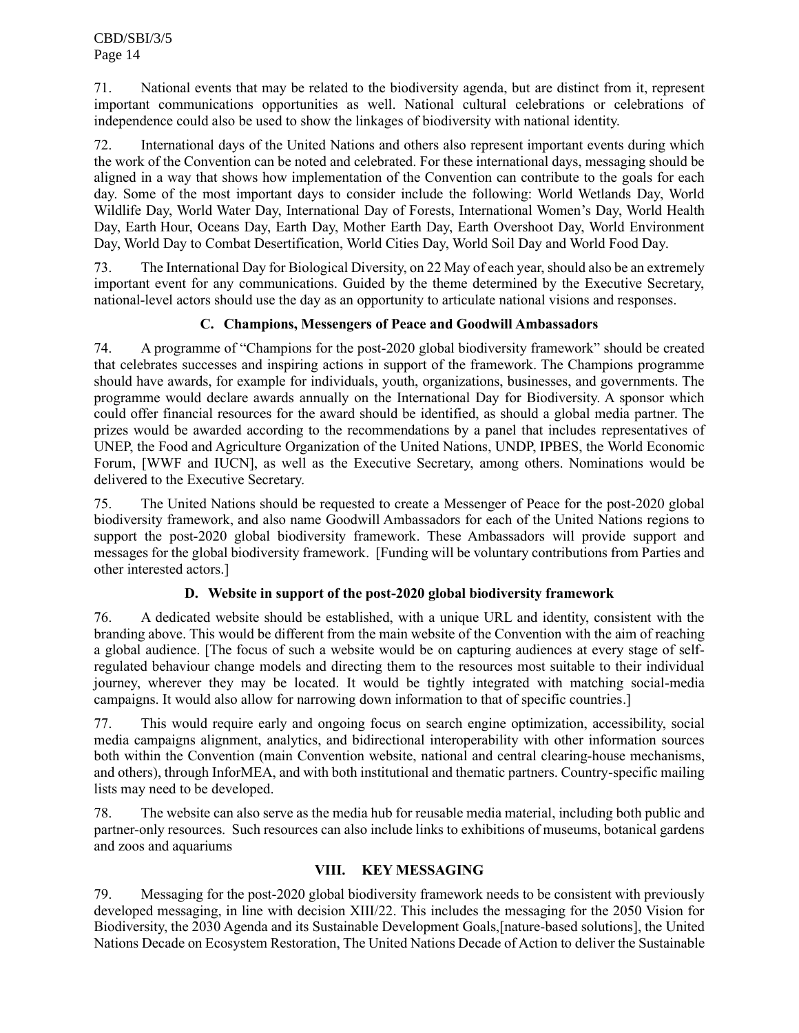71. National events that may be related to the biodiversity agenda, but are distinct from it, represent important communications opportunities as well. National cultural celebrations or celebrations of independence could also be used to show the linkages of biodiversity with national identity.

72. International days of the United Nations and others also represent important events during which the work of the Convention can be noted and celebrated. For these international days, messaging should be aligned in a way that shows how implementation of the Convention can contribute to the goals for each day. Some of the most important days to consider include the following: World Wetlands Day, World Wildlife Day, World Water Day, International Day of Forests, International Women's Day, World Health Day, Earth Hour, Oceans Day, Earth Day, Mother Earth Day, Earth Overshoot Day, World Environment Day, World Day to Combat Desertification, World Cities Day, World Soil Day and World Food Day.

73. The International Day for Biological Diversity, on 22 May of each year, should also be an extremely important event for any communications. Guided by the theme determined by the Executive Secretary, national-level actors should use the day as an opportunity to articulate national visions and responses.

# **C. Champions, Messengers of Peace and Goodwill Ambassadors**

74. A programme of "Champions for the post-2020 global biodiversity framework" should be created that celebrates successes and inspiring actions in support of the framework. The Champions programme should have awards, for example for individuals, youth, organizations, businesses, and governments. The programme would declare awards annually on the International Day for Biodiversity. A sponsor which could offer financial resources for the award should be identified, as should a global media partner. The prizes would be awarded according to the recommendations by a panel that includes representatives of UNEP, the Food and Agriculture Organization of the United Nations, UNDP, IPBES, the World Economic Forum, [WWF and IUCN], as well as the Executive Secretary, among others. Nominations would be delivered to the Executive Secretary.

75. The United Nations should be requested to create a Messenger of Peace for the post-2020 global biodiversity framework, and also name Goodwill Ambassadors for each of the United Nations regions to support the post-2020 global biodiversity framework. These Ambassadors will provide support and messages for the global biodiversity framework. [Funding will be voluntary contributions from Parties and other interested actors.]

# **D. Website in support of the post-2020 global biodiversity framework**

76. A dedicated website should be established, with a unique URL and identity, consistent with the branding above. This would be different from the main website of the Convention with the aim of reaching a global audience. [The focus of such a website would be on capturing audiences at every stage of selfregulated behaviour change models and directing them to the resources most suitable to their individual journey, wherever they may be located. It would be tightly integrated with matching social-media campaigns. It would also allow for narrowing down information to that of specific countries.]

77. This would require early and ongoing focus on search engine optimization, accessibility, social media campaigns alignment, analytics, and bidirectional interoperability with other information sources both within the Convention (main Convention website, national and central clearing-house mechanisms, and others), through InforMEA, and with both institutional and thematic partners. Country-specific mailing lists may need to be developed.

78. The website can also serve as the media hub for reusable media material, including both public and partner-only resources. Such resources can also include links to exhibitions of museums, botanical gardens and zoos and aquariums

# **VIII. KEY MESSAGING**

79. Messaging for the post-2020 global biodiversity framework needs to be consistent with previously developed messaging, in line with decision XIII/22. This includes the messaging for the 2050 Vision for Biodiversity, the 2030 Agenda and its Sustainable Development Goals,[nature-based solutions], the United Nations Decade on Ecosystem Restoration, The United Nations Decade of Action to deliver the Sustainable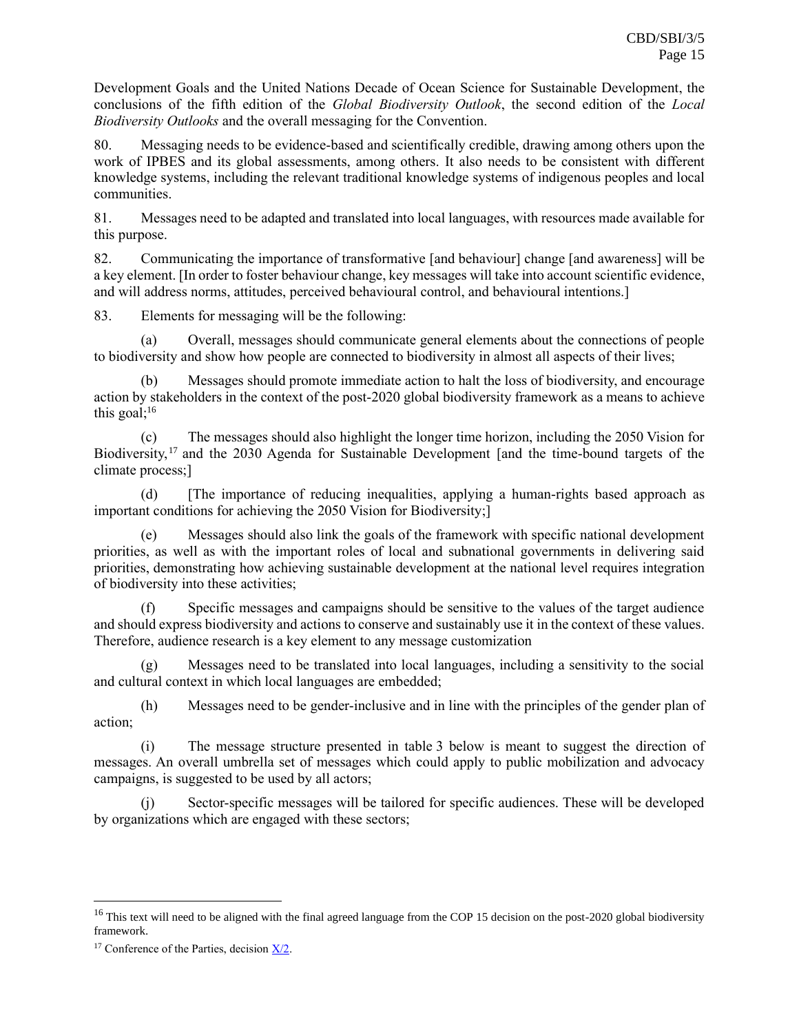Development Goals and the United Nations Decade of Ocean Science for Sustainable Development, the conclusions of the fifth edition of the *Global Biodiversity Outlook*, the second edition of the *Local Biodiversity Outlooks* and the overall messaging for the Convention.

80. Messaging needs to be evidence-based and scientifically credible, drawing among others upon the work of IPBES and its global assessments, among others. It also needs to be consistent with different knowledge systems, including the relevant traditional knowledge systems of indigenous peoples and local communities.

81. Messages need to be adapted and translated into local languages, with resources made available for this purpose.

82. Communicating the importance of transformative [and behaviour] change [and awareness] will be a key element. [In order to foster behaviour change, key messages will take into account scientific evidence, and will address norms, attitudes, perceived behavioural control, and behavioural intentions.]

83. Elements for messaging will be the following:

(a) Overall, messages should communicate general elements about the connections of people to biodiversity and show how people are connected to biodiversity in almost all aspects of their lives;

Messages should promote immediate action to halt the loss of biodiversity, and encourage action by stakeholders in the context of the post-2020 global biodiversity framework as a means to achieve this goal; $16$ 

(c) The messages should also highlight the longer time horizon, including the 2050 Vision for Biodiversity,<sup>17</sup> and the 2030 Agenda for Sustainable Development [and the time-bound targets of the climate process;]

(d) [The importance of reducing inequalities, applying a human-rights based approach as important conditions for achieving the 2050 Vision for Biodiversity;]

(e) Messages should also link the goals of the framework with specific national development priorities, as well as with the important roles of local and subnational governments in delivering said priorities, demonstrating how achieving sustainable development at the national level requires integration of biodiversity into these activities;

(f) Specific messages and campaigns should be sensitive to the values of the target audience and should express biodiversity and actions to conserve and sustainably use it in the context of these values. Therefore, audience research is a key element to any message customization

(g) Messages need to be translated into local languages, including a sensitivity to the social and cultural context in which local languages are embedded;

(h) Messages need to be gender-inclusive and in line with the principles of the gender plan of action;

(i) The message structure presented in table 3 below is meant to suggest the direction of messages. An overall umbrella set of messages which could apply to public mobilization and advocacy campaigns, is suggested to be used by all actors;

(j) Sector-specific messages will be tailored for specific audiences. These will be developed by organizations which are engaged with these sectors;

<sup>&</sup>lt;sup>16</sup> This text will need to be aligned with the final agreed language from the COP 15 decision on the post-2020 global biodiversity framework.

<sup>&</sup>lt;sup>17</sup> Conference of the Parties, decision  $X/2$ .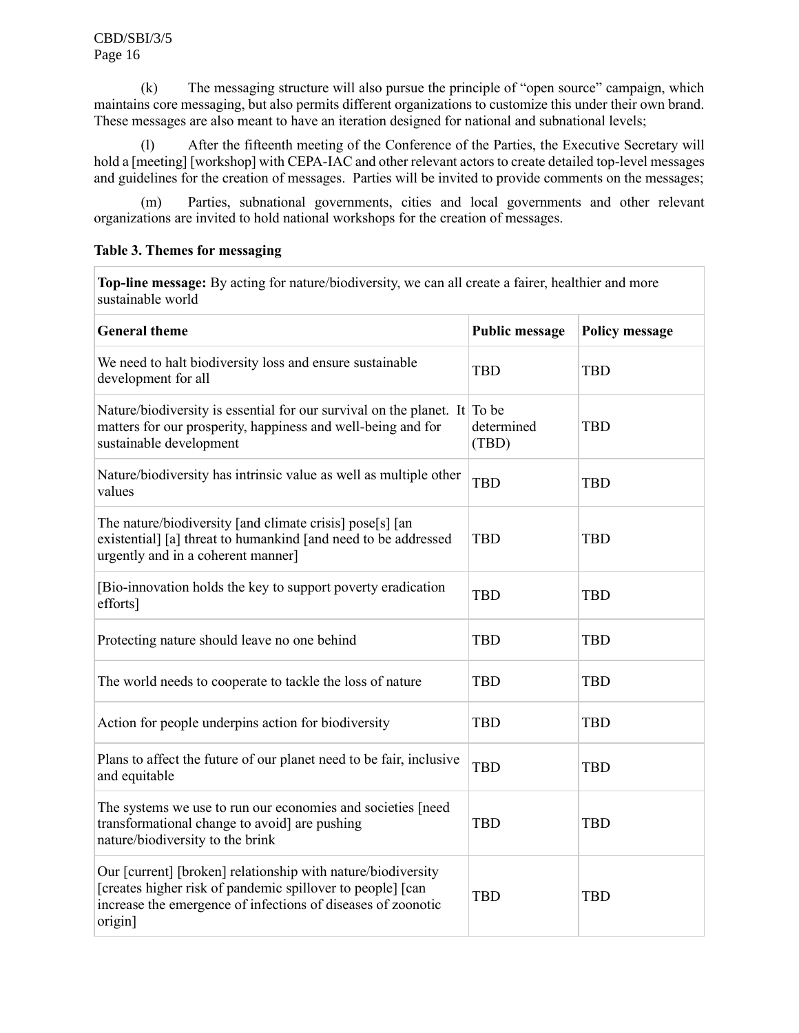(k) The messaging structure will also pursue the principle of "open source" campaign, which maintains core messaging, but also permits different organizations to customize this under their own brand. These messages are also meant to have an iteration designed for national and subnational levels;

(l) After the fifteenth meeting of the Conference of the Parties, the Executive Secretary will hold a [meeting] [workshop] with CEPA-IAC and other relevant actors to create detailed top-level messages and guidelines for the creation of messages. Parties will be invited to provide comments on the messages;

(m) Parties, subnational governments, cities and local governments and other relevant organizations are invited to hold national workshops for the creation of messages.

## **Table 3. Themes for messaging**

**Top-line message:** By acting for nature/biodiversity, we can all create a fairer, healthier and more sustainable world

| <b>General theme</b>                                                                                                                                                                                  | <b>Public message</b> | <b>Policy message</b> |
|-------------------------------------------------------------------------------------------------------------------------------------------------------------------------------------------------------|-----------------------|-----------------------|
| We need to halt biodiversity loss and ensure sustainable<br>development for all                                                                                                                       | <b>TBD</b>            | <b>TBD</b>            |
| Nature/biodiversity is essential for our survival on the planet. It To be<br>matters for our prosperity, happiness and well-being and for<br>sustainable development                                  | determined<br>(TBD)   | <b>TBD</b>            |
| Nature/biodiversity has intrinsic value as well as multiple other<br>values                                                                                                                           | <b>TBD</b>            | <b>TBD</b>            |
| The nature/biodiversity [and climate crisis] pose[s] [an<br>existential] [a] threat to humankind [and need to be addressed<br>urgently and in a coherent manner]                                      | <b>TBD</b>            | <b>TBD</b>            |
| [Bio-innovation holds the key to support poverty eradication]<br>efforts]                                                                                                                             | <b>TBD</b>            | <b>TBD</b>            |
| Protecting nature should leave no one behind                                                                                                                                                          | <b>TBD</b>            | <b>TBD</b>            |
| The world needs to cooperate to tackle the loss of nature                                                                                                                                             | <b>TBD</b>            | <b>TBD</b>            |
| Action for people underpins action for biodiversity                                                                                                                                                   | <b>TBD</b>            | <b>TBD</b>            |
| Plans to affect the future of our planet need to be fair, inclusive<br>and equitable                                                                                                                  | <b>TBD</b>            | <b>TBD</b>            |
| The systems we use to run our economies and societies [need<br>transformational change to avoid] are pushing<br>nature/biodiversity to the brink                                                      | <b>TBD</b>            | <b>TBD</b>            |
| Our [current] [broken] relationship with nature/biodiversity<br>[creates higher risk of pandemic spillover to people] [can<br>increase the emergence of infections of diseases of zoonotic<br>origin] | <b>TBD</b>            | <b>TBD</b>            |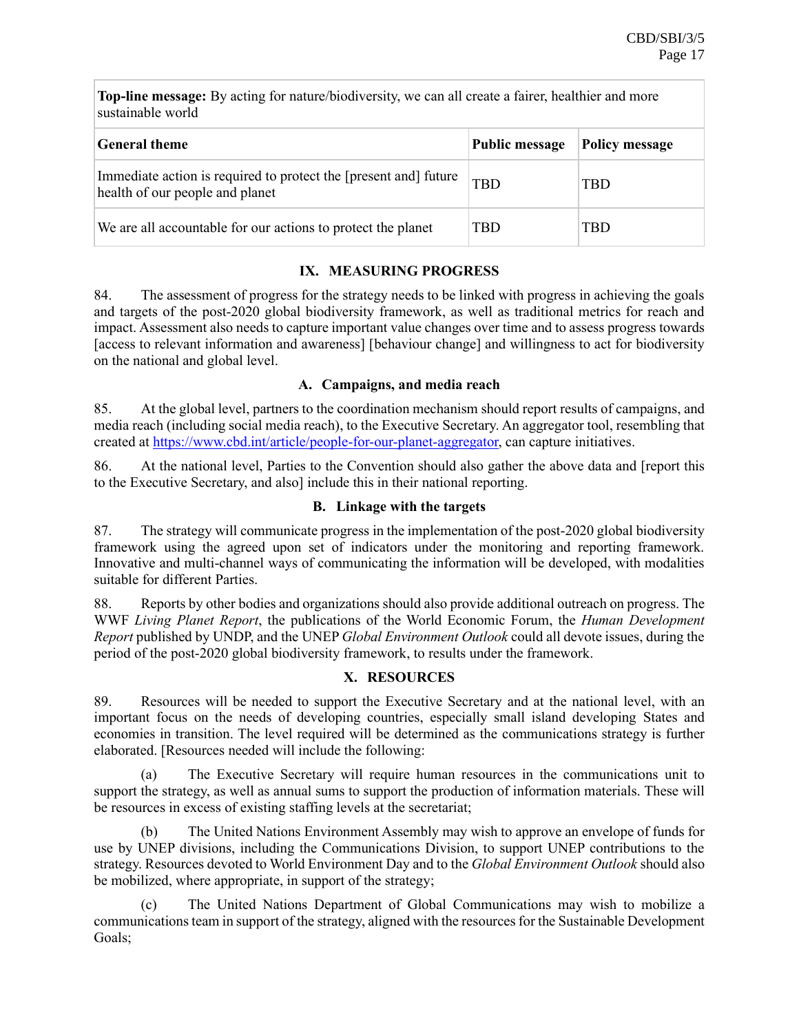**Top-line message:** By acting for nature/biodiversity, we can all create a fairer, healthier and more sustainable world

| <b>General theme</b>                                                                                | <b>Public message</b> | <b>Policy message</b> |  |  |
|-----------------------------------------------------------------------------------------------------|-----------------------|-----------------------|--|--|
| Immediate action is required to protect the [present and] future<br>health of our people and planet | <b>TBD</b>            | TBD                   |  |  |
| We are all accountable for our actions to protect the planet                                        | TBD                   | TBD                   |  |  |

# **IX. MEASURING PROGRESS**

84. The assessment of progress for the strategy needs to be linked with progress in achieving the goals and targets of the post-2020 global biodiversity framework, as well as traditional metrics for reach and impact. Assessment also needs to capture important value changes over time and to assess progress towards [access to relevant information and awareness] [behaviour change] and willingness to act for biodiversity on the national and global level.

## **A. Campaigns, and media reach**

85. At the global level, partners to the coordination mechanism should report results of campaigns, and media reach (including social media reach), to the Executive Secretary. An aggregator tool, resembling that created at [https://www.cbd.int/article/people-for-our-planet-aggregator,](https://www.cbd.int/article/people-for-our-planet-aggregator) can capture initiatives.

86. At the national level, Parties to the Convention should also gather the above data and [report this to the Executive Secretary, and also] include this in their national reporting.

## **B. Linkage with the targets**

87. The strategy will communicate progress in the implementation of the post-2020 global biodiversity framework using the agreed upon set of indicators under the monitoring and reporting framework. Innovative and multi-channel ways of communicating the information will be developed, with modalities suitable for different Parties.

88. Reports by other bodies and organizations should also provide additional outreach on progress. The WWF *Living Planet Report*, the publications of the World Economic Forum, the *Human Development Report* published by UNDP, and the UNEP *Global Environment Outlook* could all devote issues, during the period of the post-2020 global biodiversity framework, to results under the framework.

# **X. RESOURCES**

89. Resources will be needed to support the Executive Secretary and at the national level, with an important focus on the needs of developing countries, especially small island developing States and economies in transition. The level required will be determined as the communications strategy is further elaborated. [Resources needed will include the following:

(a) The Executive Secretary will require human resources in the communications unit to support the strategy, as well as annual sums to support the production of information materials. These will be resources in excess of existing staffing levels at the secretariat;

(b) The United Nations Environment Assembly may wish to approve an envelope of funds for use by UNEP divisions, including the Communications Division, to support UNEP contributions to the strategy. Resources devoted to World Environment Day and to the *Global Environment Outlook* should also be mobilized, where appropriate, in support of the strategy;

The United Nations Department of Global Communications may wish to mobilize a communications team in support of the strategy, aligned with the resources for the Sustainable Development Goals;